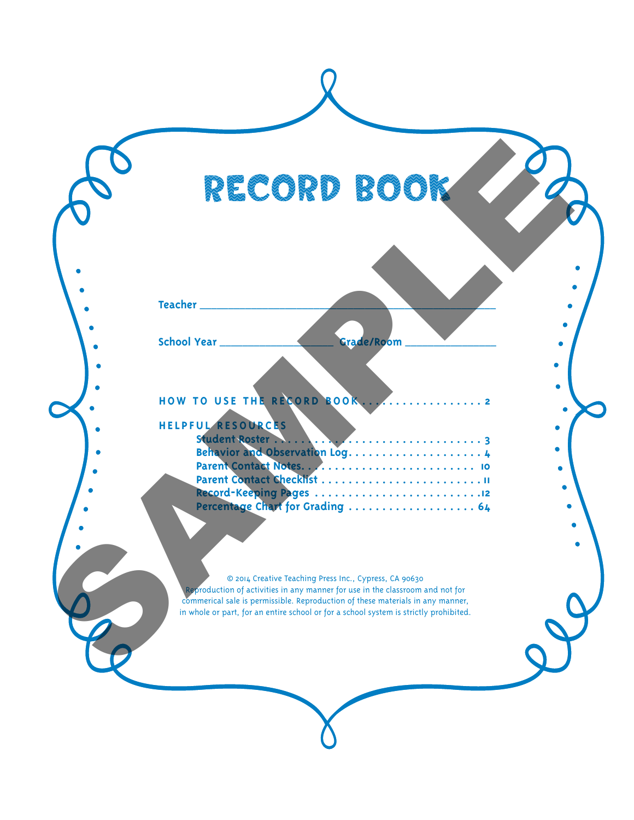#### **HOW TO USE THE RECORD BOOK . . . . . . . . . . . . . . . . . . 2**

## **HELPFUL RESOURCES**

| RECORD BOOK                                                                                                                                                                                                                                                                                                        |                                                        |
|--------------------------------------------------------------------------------------------------------------------------------------------------------------------------------------------------------------------------------------------------------------------------------------------------------------------|--------------------------------------------------------|
| Teacher __________                                                                                                                                                                                                                                                                                                 |                                                        |
| School Year<br>Grade/Room                                                                                                                                                                                                                                                                                          |                                                        |
| HELPFUL RESOURCES                                                                                                                                                                                                                                                                                                  |                                                        |
| Percentage Chart for Grading  64                                                                                                                                                                                                                                                                                   |                                                        |
| © 2014 Creative Teaching Press Inc., Cypress, CA 90630<br>Reproduction of activities in any manner for use in the classroom and not for<br>commerical sale is permissible. Reproduction of these materials in any manner,<br>in whole or part, for an entire school or for a school system is strictly prohibited. |                                                        |
|                                                                                                                                                                                                                                                                                                                    | HOW TO USE THE RECORD BOOK<br>Parent Contact Checklist |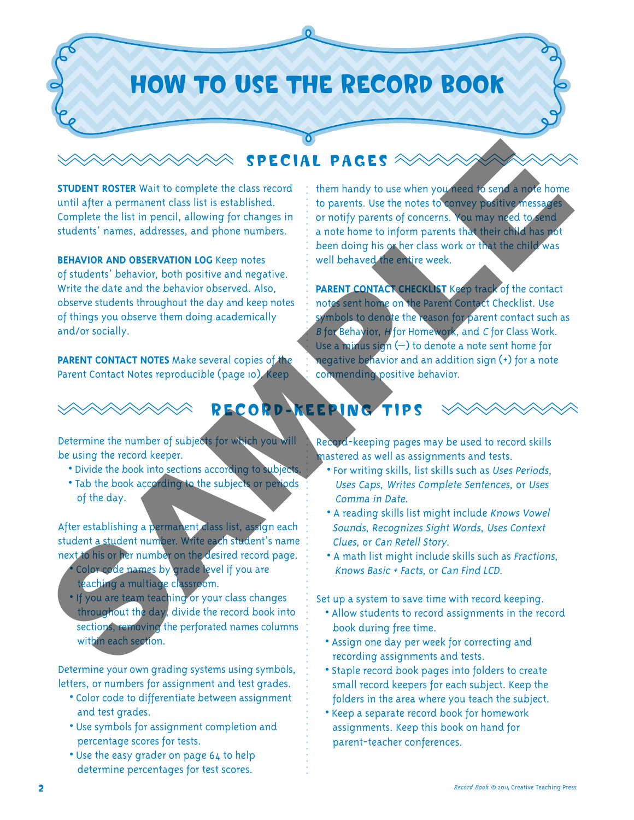## HOW TO USE THE RECORD BOOK

#### SPECIAL PAGES

**STUDENT ROSTER** Wait to complete the class record until after a permanent class list is established. Complete the list in pencil, allowing for changes in students' names, addresses, and phone numbers.

**BEHAVIOR AND OBSERVATION LOG** Keep notes of students' behavior, both positive and negative. Write the date and the behavior observed. Also, observe students throughout the day and keep notes of things you observe them doing academically and/or socially.

**PARENT CONTACT NOTES** Make several copies of the Parent Contact Notes reproducible (page 10). Keep

them handy to use when you need to send a note home to parents. Use the notes to convey positive messages or notify parents of concerns. You may need to send a note home to inform parents that their child has not been doing his or her class work or that the child was well behaved the entire week.

**PARENT CONTACT CHECKLIST Keep track of the contact** notes sent home on the Parent Contact Checklist. Use symbols to denote the reason for parent contact such as B for Behavior, H for Homework, and C for Class Work. Use a minus sign (–) to denote a note sent home for negative behavior and an addition sign (+) for a note commending positive behavior. SAMPLE RESS AND SURVEY AND STRUCTURE IN THE STRUCTURE IN THE STRUCTURE IN THE CONDUCTED TO THE STRUCTURE IN THE STRUCTURE IN THE STRUCTURE IN THE STRUCTURE IN THE STRUCTURE IN THE STRUCTURE IN THE STRUCTURE IN THE STRUCTUR



### RECORD-KEEPING TIPS

Determine the number of subjects for which you will be using the record keeper.

- Divide the book into sections according to subject
- **•** Tab the book according to the subjects or periods of the day.

After establishing a permanent class list, assign each student a student number. Write each student's name next to his or her number on the desired record page.

- **•** Color code names by grade level if you are teaching a multiage classroom.
- **•** If you are team teaching or your class changes throughout the day, divide the record book into sections, removing the perforated names columns within each section.

Determine your own grading systems using symbols, letters, or numbers for assignment and test grades.

- **•** Color code to differentiate between assignment and test grades.
- **•** Use symbols for assignment completion and percentage scores for tests.
- **•** Use the easy grader on page 64 to help determine percentages for test scores.

Record-keeping pages may be used to record skills mastered as well as assignments and tests.

- **•** For writing skills, list skills such as Uses Periods, Uses Caps, Writes Complete Sentences, or Uses Comma in Date.
- **•** A reading skills list might include Knows Vowel Sounds, Recognizes Sight Words, Uses Context Clues, or Can Retell Story.
- **•** A math list might include skills such as Fractions, Knows Basic + Facts, or Can Find LCD.

Set up a system to save time with record keeping.

- **•** Allow students to record assignments in the record book during free time.
- **•** Assign one day per week for correcting and recording assignments and tests.
- **•** Staple record book pages into folders to create small record keepers for each subject. Keep the folders in the area where you teach the subject.
- **•** Keep a separate record book for homework assignments. Keep this book on hand for parent-teacher conferences.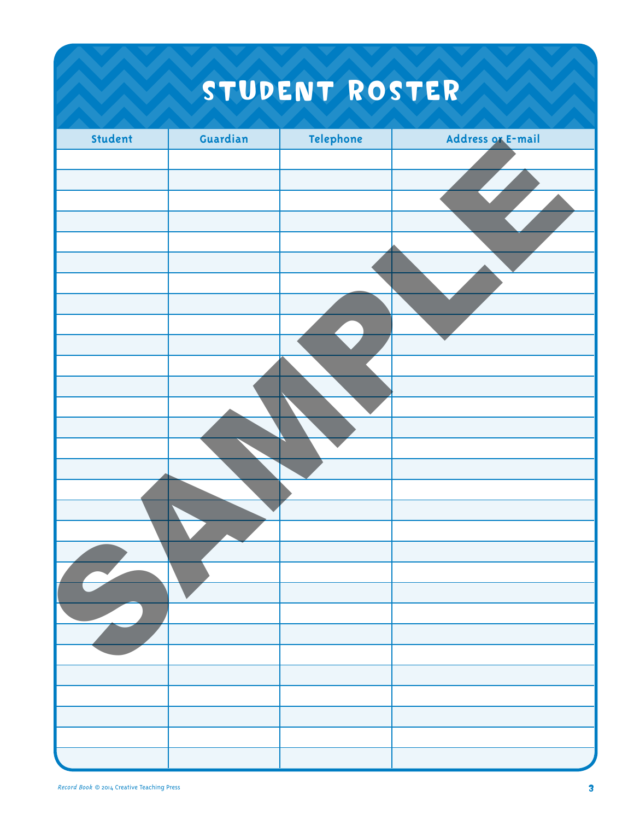# STUDENT ROSTER

| Student | Guardian | Telephone | Address or E-mail |
|---------|----------|-----------|-------------------|
|         |          |           |                   |
|         |          |           |                   |
|         |          |           |                   |
|         |          |           |                   |
|         |          |           |                   |
|         |          |           |                   |
|         |          |           |                   |
|         |          |           |                   |
|         |          |           |                   |
|         |          |           |                   |
|         |          |           |                   |
|         |          |           |                   |
|         |          |           |                   |
|         |          |           |                   |
|         |          |           |                   |
|         |          |           |                   |
|         |          |           |                   |
|         |          |           |                   |
|         |          |           |                   |
|         |          |           |                   |
|         |          |           |                   |
|         |          |           |                   |
|         |          |           |                   |
|         |          |           |                   |
|         |          |           |                   |
|         |          |           |                   |
|         |          |           |                   |
|         |          |           |                   |
|         |          |           |                   |
|         |          |           |                   |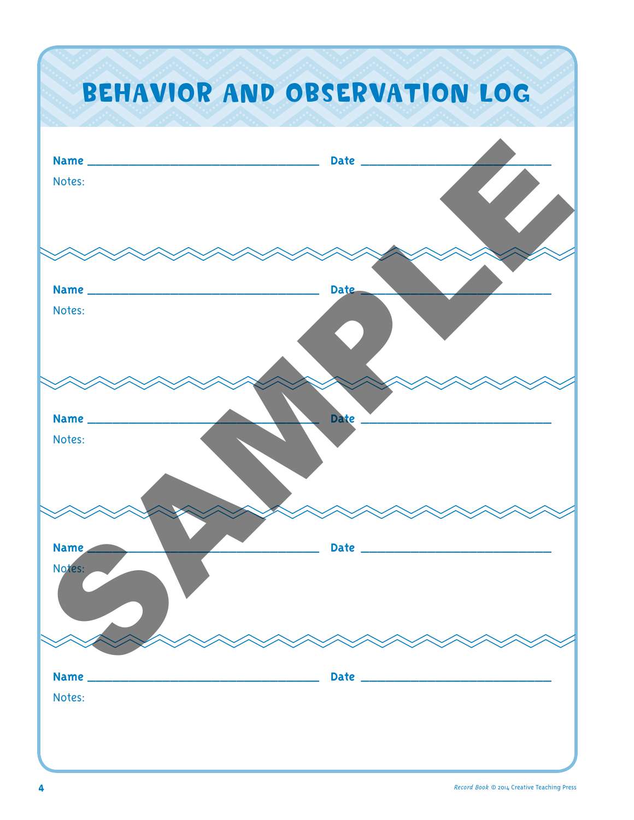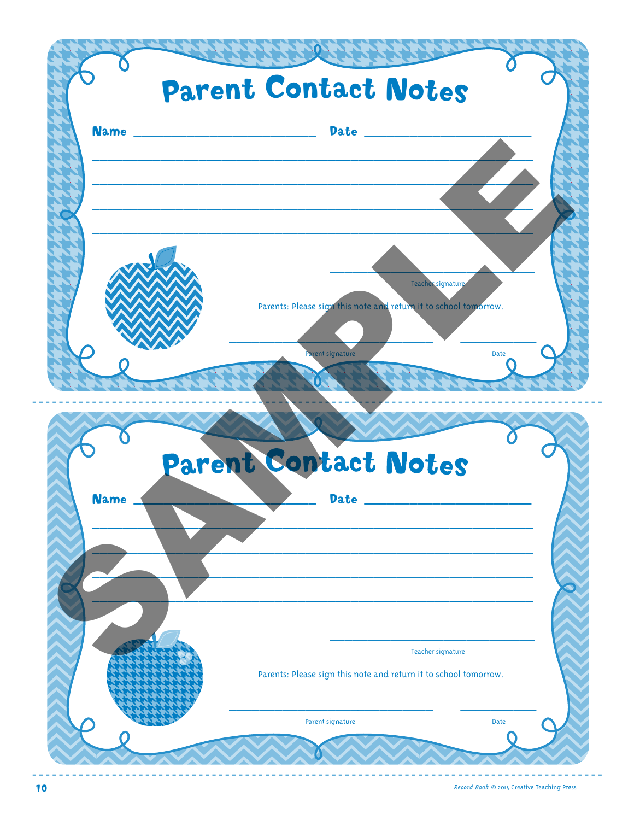

Record Book © 2014 Creative Teaching Press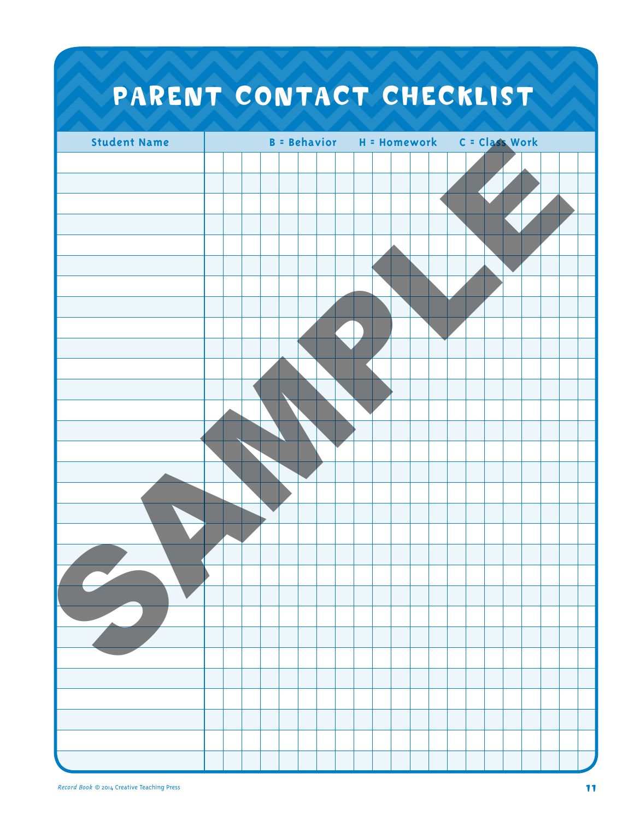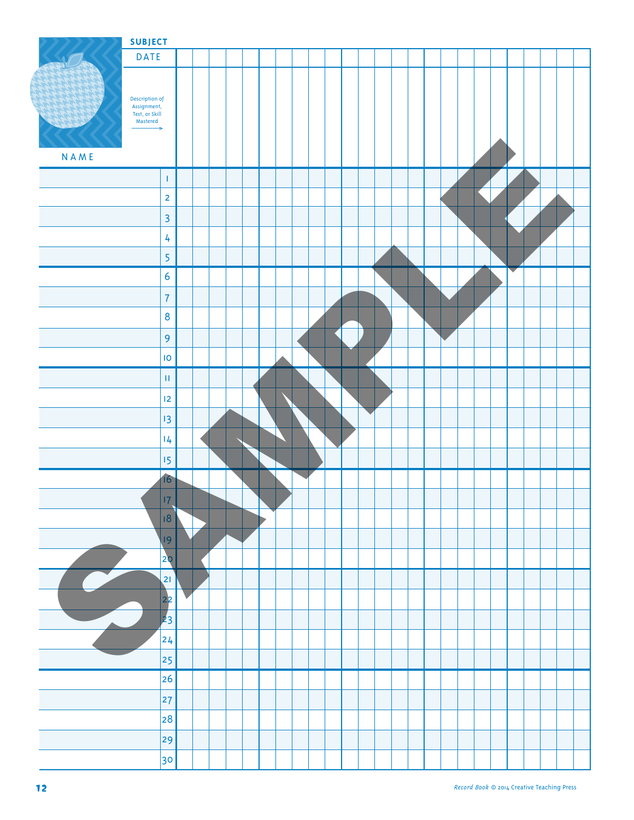